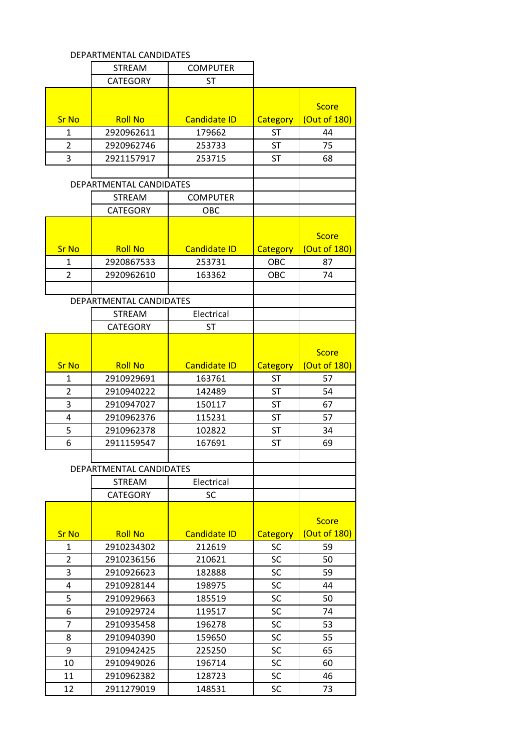| DEPARTMENTAL CANDIDATES |                         |                     |                 |              |
|-------------------------|-------------------------|---------------------|-----------------|--------------|
|                         | <b>STREAM</b>           | <b>COMPUTER</b>     |                 |              |
|                         | <b>CATEGORY</b>         | <b>ST</b>           |                 |              |
|                         |                         |                     |                 |              |
|                         |                         |                     |                 | <b>Score</b> |
| <b>Sr No</b>            | <b>Roll No</b>          | <b>Candidate ID</b> | Category        | (Out of 180) |
| 1                       | 2920962611              | 179662              | <b>ST</b>       | 44           |
| 2                       | 2920962746              | 253733              | <b>ST</b>       | 75           |
| 3                       | 2921157917              | 253715              | <b>ST</b>       | 68           |
|                         |                         |                     |                 |              |
|                         | DEPARTMENTAL CANDIDATES |                     |                 |              |
|                         | <b>STREAM</b>           | <b>COMPUTER</b>     |                 |              |
|                         | <b>CATEGORY</b>         | OBC                 |                 |              |
|                         |                         |                     |                 |              |
|                         |                         |                     |                 | <b>Score</b> |
| <b>Sr No</b>            | <b>Roll No</b>          | <b>Candidate ID</b> | <b>Category</b> | (Out of 180) |
| 1                       | 2920867533              | 253731              | OBC             | 87           |
| $\overline{2}$          | 2920962610              | 163362              | OBC             | 74           |
|                         |                         |                     |                 |              |
|                         | DEPARTMENTAL CANDIDATES |                     |                 |              |
|                         | <b>STREAM</b>           | Electrical          |                 |              |
|                         | <b>CATEGORY</b>         | <b>ST</b>           |                 |              |
|                         |                         |                     |                 |              |
|                         |                         |                     |                 | <b>Score</b> |
| <b>Sr No</b>            | <b>Roll No</b>          | <b>Candidate ID</b> | Category        | (Out of 180) |
| $\mathbf{1}$            | 2910929691              | 163761              | <b>ST</b>       | 57           |
| 2                       | 2910940222              | 142489              | <b>ST</b>       | 54           |
| 3                       | 2910947027              | 150117              | <b>ST</b>       | 67           |
| 4                       | 2910962376              | 115231              | <b>ST</b>       | 57           |
| 5                       | 2910962378              | 102822              | <b>ST</b>       | 34           |
| 6                       | 2911159547              | 167691              | <b>ST</b>       | 69           |
|                         |                         |                     |                 |              |
|                         | DEPARTMENTAL CANDIDATES |                     |                 |              |
|                         | <b>STREAM</b>           | Electrical          |                 |              |
|                         | <b>CATEGORY</b>         | SC                  |                 |              |
|                         |                         |                     |                 |              |
|                         |                         |                     |                 | <b>Score</b> |
| <b>Sr No</b>            | <b>Roll No</b>          | <b>Candidate ID</b> | Category        | (Out of 180) |
| 1                       | 2910234302              | 212619              | <b>SC</b>       | 59           |
| $\overline{2}$          | 2910236156              | 210621              | SC              | 50           |
| 3                       | 2910926623              |                     | <b>SC</b>       | 59           |
|                         |                         | 182888              |                 |              |
| 4<br>5                  | 2910928144              | 198975              | <b>SC</b>       | 44           |
|                         | 2910929663              | 185519              | <b>SC</b>       | 50           |
| 6                       | 2910929724              | 119517              | <b>SC</b>       | 74           |
| $\overline{7}$          | 2910935458              | 196278              | SC              | 53           |
| 8                       | 2910940390              | 159650              | <b>SC</b>       | 55           |
| 9                       | 2910942425              | 225250              | SC              | 65           |
| 10                      | 2910949026              | 196714              | <b>SC</b>       | 60           |
| 11                      | 2910962382              | 128723              | SC              | 46           |
| 12                      | 2911279019              | 148531              | SC              | 73           |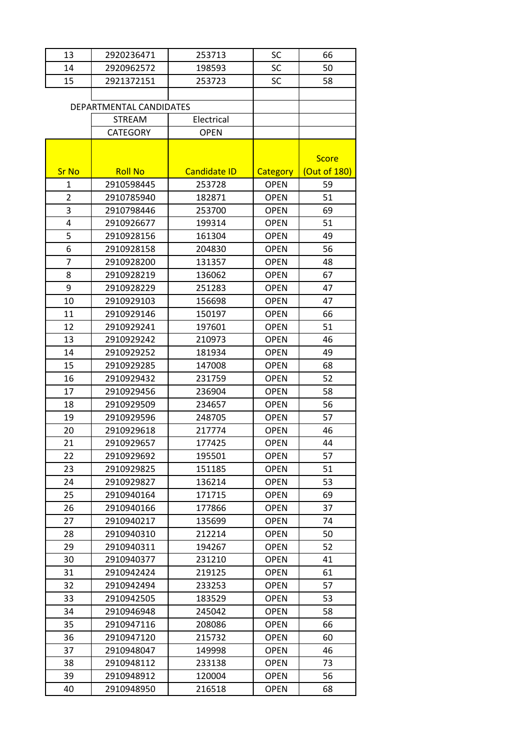| 13             | 2920236471              | 253713              | <b>SC</b>   | 66           |
|----------------|-------------------------|---------------------|-------------|--------------|
| 14             | 2920962572              | 198593              | SC          | 50           |
| 15             | 2921372151              | 253723              | <b>SC</b>   | 58           |
|                |                         |                     |             |              |
|                | DEPARTMENTAL CANDIDATES |                     |             |              |
|                | <b>STREAM</b>           | Electrical          |             |              |
|                | <b>CATEGORY</b>         | <b>OPEN</b>         |             |              |
|                |                         |                     |             |              |
|                |                         |                     |             | <b>Score</b> |
| <b>Sr No</b>   | <b>Roll No</b>          | <b>Candidate ID</b> | Category    | (Out of 180) |
| 1              | 2910598445              | 253728              | <b>OPEN</b> | 59           |
| $\overline{2}$ | 2910785940              | 182871              | <b>OPEN</b> | 51           |
| 3              | 2910798446              | 253700              | <b>OPEN</b> | 69           |
| 4              | 2910926677              | 199314              | <b>OPEN</b> | 51           |
| 5              | 2910928156              | 161304              | <b>OPEN</b> | 49           |
| 6              | 2910928158              | 204830              | <b>OPEN</b> | 56           |
| 7              | 2910928200              | 131357              | <b>OPEN</b> | 48           |
| 8              | 2910928219              | 136062              | <b>OPEN</b> | 67           |
| 9              | 2910928229              | 251283              | <b>OPEN</b> | 47           |
| 10             | 2910929103              | 156698              | <b>OPEN</b> | 47           |
| 11             | 2910929146              | 150197              | <b>OPEN</b> | 66           |
| 12             | 2910929241              | 197601              | <b>OPEN</b> | 51           |
| 13             | 2910929242              | 210973              | <b>OPEN</b> | 46           |
| 14             | 2910929252              | 181934              | <b>OPEN</b> | 49           |
| 15             | 2910929285              | 147008              | <b>OPEN</b> | 68           |
| 16             | 2910929432              | 231759              | <b>OPEN</b> | 52           |
| 17             | 2910929456              | 236904              | <b>OPEN</b> | 58           |
| 18             | 2910929509              | 234657              | <b>OPEN</b> | 56           |
| 19             | 2910929596              | 248705              | <b>OPEN</b> | 57           |
| 20             | 2910929618              | 217774              | <b>OPEN</b> | 46           |
| 21             | 2910929657              | 177425              | <b>OPEN</b> | 44           |
| 22             | 2910929692              | 195501              | <b>OPEN</b> | 57           |
| 23             | 2910929825              | 151185              | <b>OPEN</b> | 51           |
| 24             | 2910929827              | 136214              | <b>OPEN</b> | 53           |
| 25             | 2910940164              | 171715              | <b>OPEN</b> | 69           |
| 26             | 2910940166              | 177866              | <b>OPEN</b> | 37           |
| 27             | 2910940217              | 135699              | <b>OPEN</b> | 74           |
| 28             | 2910940310              | 212214              | <b>OPEN</b> | 50           |
| 29             | 2910940311              | 194267              | <b>OPEN</b> | 52           |
| 30             | 2910940377              | 231210              | <b>OPEN</b> | 41           |
| 31             | 2910942424              | 219125              | <b>OPEN</b> | 61           |
| 32             | 2910942494              | 233253              | <b>OPEN</b> | 57           |
| 33             | 2910942505              | 183529              | <b>OPEN</b> | 53           |
| 34             | 2910946948              | 245042              | <b>OPEN</b> | 58           |
| 35             | 2910947116              | 208086              | <b>OPEN</b> | 66           |
| 36             | 2910947120              | 215732              | <b>OPEN</b> | 60           |
| 37             | 2910948047              | 149998              | <b>OPEN</b> | 46           |
| 38             | 2910948112              | 233138              | <b>OPEN</b> | 73           |
| 39             | 2910948912              | 120004              | <b>OPEN</b> | 56           |
| 40             | 2910948950              | 216518              | <b>OPEN</b> | 68           |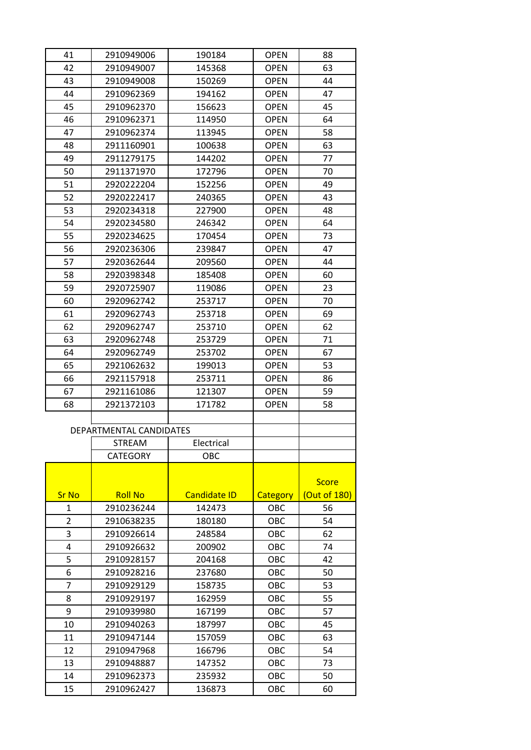| 41             | 2910949006              | 190184              | <b>OPEN</b> | 88           |
|----------------|-------------------------|---------------------|-------------|--------------|
| 42             | 2910949007              | 145368              | <b>OPEN</b> | 63           |
| 43             | 2910949008              | 150269              | <b>OPEN</b> | 44           |
| 44             | 2910962369              | 194162              | <b>OPEN</b> | 47           |
| 45             | 2910962370              | 156623              | <b>OPEN</b> | 45           |
| 46             | 2910962371              | 114950              | <b>OPEN</b> | 64           |
| 47             | 2910962374              | 113945              | <b>OPEN</b> | 58           |
| 48             | 2911160901              | 100638              | <b>OPEN</b> | 63           |
| 49             | 2911279175              | 144202              | <b>OPEN</b> | 77           |
| 50             | 2911371970              | 172796              | OPEN        | 70           |
| 51             | 2920222204              | 152256              | <b>OPEN</b> | 49           |
| 52             | 2920222417              | 240365              | <b>OPEN</b> | 43           |
| 53             | 2920234318              | 227900              | <b>OPEN</b> | 48           |
| 54             | 2920234580              | 246342              | <b>OPEN</b> | 64           |
| 55             | 2920234625              | 170454              | <b>OPEN</b> | 73           |
| 56             | 2920236306              | 239847              | <b>OPEN</b> | 47           |
| 57             | 2920362644              | 209560              | <b>OPEN</b> | 44           |
| 58             | 2920398348              | 185408              | <b>OPEN</b> | 60           |
| 59             | 2920725907              | 119086              | <b>OPEN</b> | 23           |
| 60             | 2920962742              | 253717              | <b>OPEN</b> | 70           |
| 61             | 2920962743              | 253718              | <b>OPEN</b> | 69           |
| 62             | 2920962747              | 253710              | <b>OPEN</b> | 62           |
| 63             | 2920962748              | 253729              | <b>OPEN</b> | 71           |
|                |                         |                     |             |              |
| 64             | 2920962749              | 253702              | <b>OPEN</b> | 67           |
| 65             | 2921062632              | 199013              | <b>OPEN</b> | 53           |
| 66             | 2921157918              | 253711              | <b>OPEN</b> | 86           |
| 67             | 2921161086              | 121307              | <b>OPEN</b> | 59           |
| 68             | 2921372103              | 171782              | <b>OPEN</b> | 58           |
|                |                         |                     |             |              |
|                | DEPARTMENTAL CANDIDATES |                     |             |              |
|                | STREAM                  | Electrical          |             |              |
|                | <b>CATEGORY</b>         | OBC                 |             |              |
|                |                         |                     |             |              |
|                |                         |                     |             | <b>Score</b> |
| <b>Sr No</b>   | <b>Roll No</b>          | <b>Candidate ID</b> | Category    | (Out of 180) |
| 1              | 2910236244              | 142473              | OBC         | 56           |
| $\overline{2}$ | 2910638235              | 180180              | OBC         | 54           |
| 3              | 2910926614              | 248584              | OBC         | 62           |
| 4              | 2910926632              | 200902              | OBC         | 74           |
| 5              | 2910928157              | 204168              | OBC         | 42           |
| 6              | 2910928216              | 237680              | OBC         | 50           |
| $\overline{7}$ | 2910929129              | 158735              | OBC         | 53           |
| 8              | 2910929197              | 162959              | OBC         | 55           |
| 9              | 2910939980              | 167199              | OBC         | 57           |
| 10             | 2910940263              | 187997              | OBC         | 45           |
| 11             | 2910947144              | 157059              | OBC         | 63           |
| 12             | 2910947968              | 166796              | OBC         | 54           |
| 13             | 2910948887              | 147352              | OBC         | 73           |
| 14             | 2910962373              | 235932              | OBC         | 50           |
| 15             | 2910962427              | 136873              | OBC         | 60           |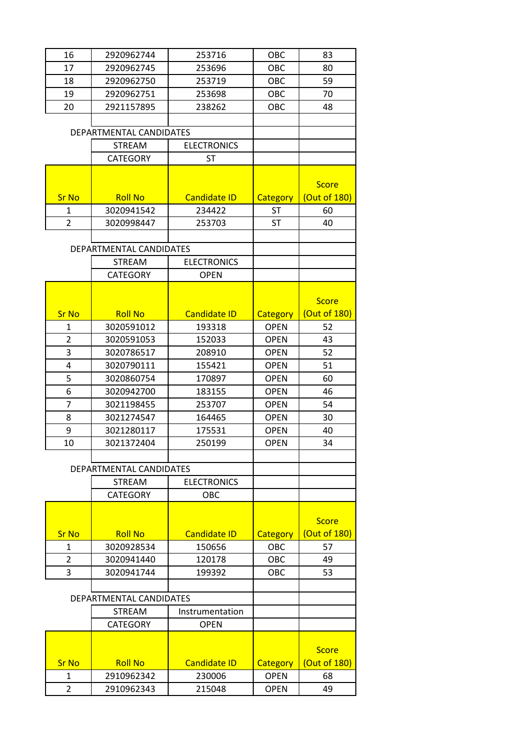| 16             | 2920962744              | 253716              | OBC         | 83           |
|----------------|-------------------------|---------------------|-------------|--------------|
| 17             | 2920962745              | 253696              | OBC         | 80           |
|                |                         |                     |             | 59           |
| 18             | 2920962750              | 253719              | OBC         |              |
| 19             | 2920962751              | 253698              | OBC         | 70           |
| 20             | 2921157895              | 238262              | OBC         | 48           |
|                |                         |                     |             |              |
|                | DEPARTMENTAL CANDIDATES |                     |             |              |
|                | <b>STREAM</b>           | <b>ELECTRONICS</b>  |             |              |
|                | <b>CATEGORY</b>         | <b>ST</b>           |             |              |
|                |                         |                     |             |              |
|                |                         |                     |             | <b>Score</b> |
| <b>Sr No</b>   | <b>Roll No</b>          | <b>Candidate ID</b> | Category    | (Out of 180) |
| $\mathbf{1}$   | 3020941542              | 234422              | <b>ST</b>   | 60           |
| $\overline{2}$ | 3020998447              | 253703              | <b>ST</b>   | 40           |
|                |                         |                     |             |              |
|                | DEPARTMENTAL CANDIDATES |                     |             |              |
|                | <b>STREAM</b>           | <b>ELECTRONICS</b>  |             |              |
|                | <b>CATEGORY</b>         | <b>OPEN</b>         |             |              |
|                |                         |                     |             |              |
|                |                         |                     |             | <b>Score</b> |
| <b>Sr No</b>   | <b>Roll No</b>          | <b>Candidate ID</b> | Category    | (Out of 180) |
| 1              | 3020591012              | 193318              | <b>OPEN</b> | 52           |
| $\overline{2}$ | 3020591053              | 152033              | <b>OPEN</b> | 43           |
| 3              | 3020786517              | 208910              | <b>OPEN</b> | 52           |
|                |                         |                     |             |              |
| 4              | 3020790111              | 155421              | <b>OPEN</b> | 51           |
| 5              | 3020860754              | 170897              | <b>OPEN</b> | 60           |
| 6              | 3020942700              | 183155              | <b>OPEN</b> | 46           |
| 7              | 3021198455              | 253707              | <b>OPEN</b> | 54           |
| 8              | 3021274547              | 164465              | <b>OPEN</b> | 30           |
| 9              | 3021280117              | 175531              | <b>OPEN</b> | 40           |
| 10             | 3021372404              | 250199              | <b>OPEN</b> | 34           |
|                |                         |                     |             |              |
|                | DEPARTMENTAL CANDIDATES |                     |             |              |
|                | <b>STREAM</b>           | <b>ELECTRONICS</b>  |             |              |
|                | <b>CATEGORY</b>         | OBC                 |             |              |
|                |                         |                     |             |              |
|                |                         |                     |             | <b>Score</b> |
| <b>Sr No</b>   | <b>Roll No</b>          | <b>Candidate ID</b> | Category    | (Out of 180) |
| 1              | 3020928534              | 150656              | OBC         | 57           |
| $\overline{2}$ | 3020941440              | 120178              | OBC         | 49           |
| 3              | 3020941744              | 199392              | OBC         | 53           |
|                |                         |                     |             |              |
|                | DEPARTMENTAL CANDIDATES |                     |             |              |
|                | <b>STREAM</b>           | Instrumentation     |             |              |
|                | <b>CATEGORY</b>         | <b>OPEN</b>         |             |              |
|                |                         |                     |             |              |
|                |                         |                     |             |              |
|                |                         |                     |             | <b>Score</b> |
| <b>Sr No</b>   | <b>Roll No</b>          | <b>Candidate ID</b> | Category    | (Out of 180) |
| 1              | 2910962342              | 230006              | <b>OPEN</b> | 68           |
| 2              | 2910962343              | 215048              | <b>OPEN</b> | 49           |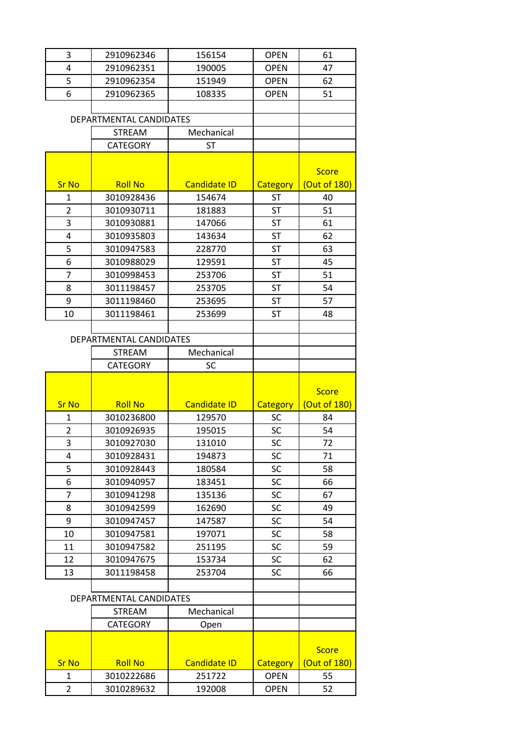| 3              | 2910962346              | 156154                        | <b>OPEN</b>             | 61                           |
|----------------|-------------------------|-------------------------------|-------------------------|------------------------------|
| 4              | 2910962351              | 190005                        | <b>OPEN</b>             | 47                           |
| 5              | 2910962354              | 151949                        | <b>OPEN</b>             | 62                           |
| 6              | 2910962365              | 108335                        | <b>OPEN</b>             | 51                           |
|                |                         |                               |                         |                              |
|                | DEPARTMENTAL CANDIDATES |                               |                         |                              |
|                | <b>STREAM</b>           | Mechanical                    |                         |                              |
|                | <b>CATEGORY</b>         | <b>ST</b>                     |                         |                              |
|                |                         |                               |                         |                              |
|                |                         |                               |                         | <b>Score</b>                 |
| <b>Sr No</b>   | <b>Roll No</b>          | <b>Candidate ID</b>           | <b>Category</b>         | (Out of 180)                 |
| 1              | 3010928436              | 154674                        | <b>ST</b>               | 40                           |
| $\overline{2}$ | 3010930711              | 181883                        | <b>ST</b>               | 51                           |
| 3              | 3010930881              | 147066                        | <b>ST</b>               | 61                           |
| 4              | 3010935803              | 143634                        | <b>ST</b>               | 62                           |
| 5              | 3010947583              | 228770                        | <b>ST</b>               | 63                           |
| 6              | 3010988029              | 129591                        | <b>ST</b>               | 45                           |
| $\overline{7}$ | 3010998453              | 253706                        | <b>ST</b>               | 51                           |
| 8              | 3011198457              | 253705                        | <b>ST</b>               | 54                           |
| 9              | 3011198460              | 253695                        | <b>ST</b>               | 57                           |
| 10             | 3011198461              | 253699                        | <b>ST</b>               | 48                           |
|                |                         |                               |                         |                              |
|                | DEPARTMENTAL CANDIDATES |                               |                         |                              |
|                | <b>STREAM</b>           | Mechanical                    |                         |                              |
|                | <b>CATEGORY</b>         | SC                            |                         |                              |
|                |                         |                               |                         |                              |
|                |                         |                               |                         |                              |
|                |                         |                               |                         |                              |
|                |                         |                               |                         | <b>Score</b>                 |
| <b>Sr No</b>   | <b>Roll No</b>          | <b>Candidate ID</b>           | Category                | (Out of 180)                 |
| 1              | 3010236800              | 129570                        | <b>SC</b>               | 84                           |
| $\overline{2}$ | 3010926935              | 195015                        | SC                      | 54                           |
| 3              | 3010927030              | 131010                        | SC                      | 72                           |
| 4              | 3010928431              | 194873                        | SC                      | 71                           |
| 5              | 3010928443              | 180584                        | SC                      | 58                           |
| 6<br>7         | 3010940957              | 183451                        | SC                      | 66                           |
|                | 3010941298              | 135136                        | SC                      | 67                           |
| 8              | 3010942599              | 162690                        | SC                      | 49                           |
| 9              | 3010947457              | 147587                        | SC                      | 54                           |
| 10<br>11       | 3010947581              | 197071<br>251195              | SC                      | 58<br>59                     |
|                | 3010947582              |                               | <b>SC</b>               |                              |
| 12             | 3010947675              | 153734                        | <b>SC</b>               | 62                           |
| 13             | 3011198458              | 253704                        | SC                      | 66                           |
|                | DEPARTMENTAL CANDIDATES |                               |                         |                              |
|                | <b>STREAM</b>           | Mechanical                    |                         |                              |
|                |                         |                               |                         |                              |
|                | <b>CATEGORY</b>         | Open                          |                         |                              |
|                |                         |                               |                         |                              |
| <b>Sr No</b>   | <b>Roll No</b>          |                               |                         | <b>Score</b><br>(Out of 180) |
| 1              | 3010222686              | <b>Candidate ID</b><br>251722 | Category<br><b>OPEN</b> | 55                           |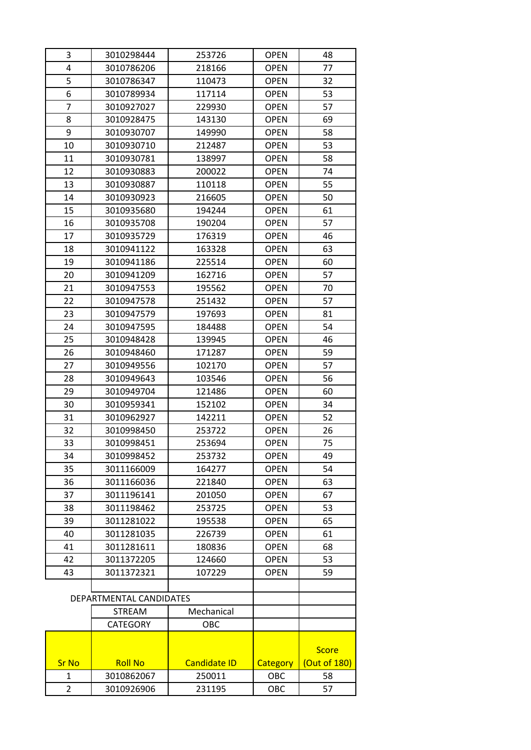| 3            | 3010298444              | 253726              | <b>OPEN</b> | 48           |
|--------------|-------------------------|---------------------|-------------|--------------|
| 4            | 3010786206              | 218166              | <b>OPEN</b> | 77           |
| 5            | 3010786347              | 110473              | <b>OPEN</b> | 32           |
| 6            | 3010789934              | 117114              | <b>OPEN</b> | 53           |
| 7            | 3010927027              | 229930              | <b>OPEN</b> | 57           |
| 8            | 3010928475              | 143130              | <b>OPEN</b> | 69           |
| 9            | 3010930707              | 149990              | <b>OPEN</b> | 58           |
| 10           | 3010930710              | 212487              | <b>OPEN</b> | 53           |
| 11           | 3010930781              | 138997              | <b>OPEN</b> | 58           |
| 12           | 3010930883              | 200022              | <b>OPEN</b> | 74           |
| 13           | 3010930887              | 110118              | <b>OPEN</b> | 55           |
| 14           | 3010930923              | 216605              | <b>OPEN</b> | 50           |
| 15           | 3010935680              | 194244              | <b>OPEN</b> | 61           |
| 16           | 3010935708              | 190204              | <b>OPEN</b> | 57           |
| 17           | 3010935729              | 176319              | <b>OPEN</b> | 46           |
| 18           | 3010941122              | 163328              | <b>OPEN</b> | 63           |
| 19           | 3010941186              | 225514              | <b>OPEN</b> | 60           |
| 20           | 3010941209              | 162716              | <b>OPEN</b> | 57           |
| 21           | 3010947553              | 195562              | <b>OPEN</b> | 70           |
| 22           | 3010947578              | 251432              | <b>OPEN</b> | 57           |
| 23           | 3010947579              | 197693              | <b>OPEN</b> | 81           |
| 24           | 3010947595              | 184488              | <b>OPEN</b> | 54           |
| 25           | 3010948428              | 139945              | <b>OPEN</b> | 46           |
| 26           | 3010948460              | 171287              | <b>OPEN</b> | 59           |
| 27           | 3010949556              | 102170              | <b>OPEN</b> | 57           |
| 28           | 3010949643              | 103546              | <b>OPEN</b> | 56           |
| 29           | 3010949704              | 121486              | <b>OPEN</b> | 60           |
| 30           | 3010959341              | 152102              | <b>OPEN</b> | 34           |
| 31           | 3010962927              | 142211              | <b>OPEN</b> | 52           |
| 32           | 3010998450              | 253722              | <b>OPEN</b> | 26           |
| 33           | 3010998451              | 253694              | <b>OPEN</b> | 75           |
| 34           | 3010998452              | 253732              | <b>OPEN</b> | 49           |
| 35           | 3011166009              | 164277              | <b>OPEN</b> | 54           |
| 36           | 3011166036              | 221840              | <b>OPEN</b> | 63           |
| 37           | 3011196141              | 201050              | <b>OPEN</b> | 67           |
| 38           | 3011198462              | 253725              | <b>OPEN</b> | 53           |
| 39           | 3011281022              | 195538              | <b>OPEN</b> | 65           |
| 40           | 3011281035              | 226739              | <b>OPEN</b> | 61           |
| 41           | 3011281611              | 180836              | <b>OPEN</b> | 68           |
| 42           | 3011372205              | 124660              | <b>OPEN</b> | 53           |
| 43           | 3011372321              | 107229              | <b>OPEN</b> | 59           |
|              |                         |                     |             |              |
|              | DEPARTMENTAL CANDIDATES |                     |             |              |
|              | <b>STREAM</b>           | Mechanical          |             |              |
|              | <b>CATEGORY</b>         | OBC                 |             |              |
|              |                         |                     |             |              |
|              |                         |                     |             | <b>Score</b> |
| <b>Sr No</b> | <b>Roll No</b>          | <b>Candidate ID</b> | Category    | (Out of 180) |
| 1            | 3010862067              | 250011              | OBC         | 58           |
|              | 3010926906              |                     | OBC         | 57           |